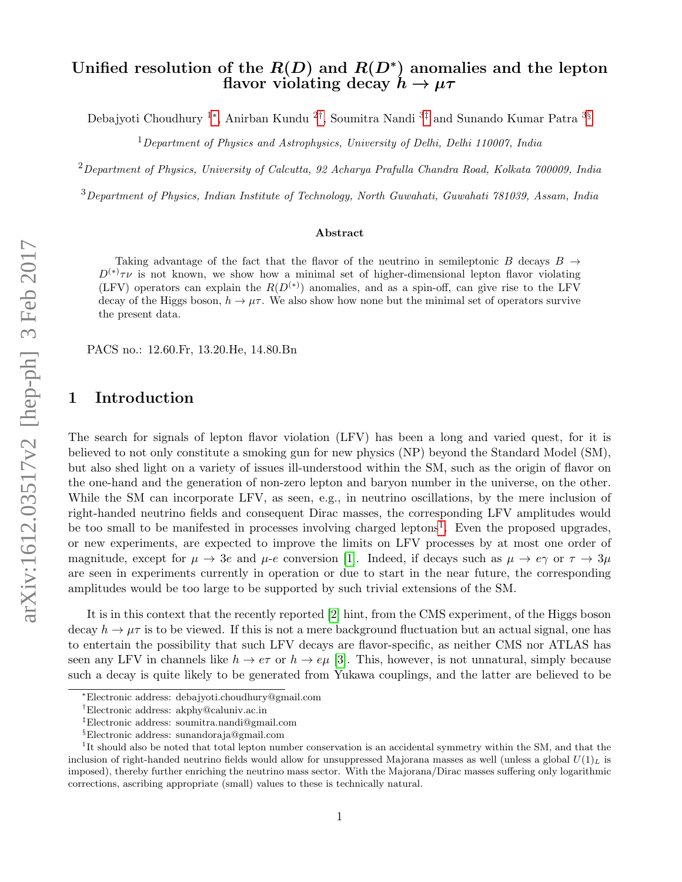## Unified resolution of the  $R(D)$  and  $R(D^*)$  anomalies and the lepton flavor violating decay  $h \to \mu \tau$

Debajyoti Choudhury <sup>1</sup>[∗](#page-0-0) , Anirban Kundu <sup>2</sup>[†](#page-0-1) , Soumitra Nandi <sup>3</sup>[‡](#page-0-2) and Sunando Kumar Patra <sup>3</sup>[§](#page-0-3)

 $1$ Department of Physics and Astrophysics, University of Delhi, Delhi 110007, India

 $2$ Department of Physics, University of Calcutta, 92 Acharya Prafulla Chandra Road, Kolkata 700009, India

<sup>3</sup>Department of Physics, Indian Institute of Technology, North Guwahati, Guwahati 781039, Assam, India

#### Abstract

Taking advantage of the fact that the flavor of the neutrino in semileptonic B decays  $B \rightarrow$  $D^{(*)}\tau\nu$  is not known, we show how a minimal set of higher-dimensional lepton flavor violating (LFV) operators can explain the  $R(D^{(*)})$  anomalies, and as a spin-off, can give rise to the LFV decay of the Higgs boson,  $h \to \mu\tau$ . We also show how none but the minimal set of operators survive the present data.

PACS no.: 12.60.Fr, 13.20.He, 14.80.Bn

## 1 Introduction

The search for signals of lepton flavor violation (LFV) has been a long and varied quest, for it is believed to not only constitute a smoking gun for new physics (NP) beyond the Standard Model (SM), but also shed light on a variety of issues ill-understood within the SM, such as the origin of flavor on the one-hand and the generation of non-zero lepton and baryon number in the universe, on the other. While the SM can incorporate LFV, as seen, e.g., in neutrino oscillations, by the mere inclusion of right-handed neutrino fields and consequent Dirac masses, the corresponding LFV amplitudes would be too small to be manifested in processes involving charged leptons<sup>[1](#page-0-4)</sup>. Even the proposed upgrades, or new experiments, are expected to improve the limits on LFV processes by at most one order of magnitude, except for  $\mu \to 3e$  and  $\mu$ -e conversion [\[1\]](#page-12-0). Indeed, if decays such as  $\mu \to e\gamma$  or  $\tau \to 3\mu$ are seen in experiments currently in operation or due to start in the near future, the corresponding amplitudes would be too large to be supported by such trivial extensions of the SM.

It is in this context that the recently reported [\[2\]](#page-12-1) hint, from the CMS experiment, of the Higgs boson decay  $h \to \mu\tau$  is to be viewed. If this is not a mere background fluctuation but an actual signal, one has to entertain the possibility that such LFV decays are flavor-specific, as neither CMS nor ATLAS has seen any LFV in channels like  $h \to e\tau$  or  $h \to e\mu$  [\[3\]](#page-12-2). This, however, is not unnatural, simply because such a decay is quite likely to be generated from Yukawa couplings, and the latter are believed to be

<span id="page-0-0"></span><sup>∗</sup>Electronic address: debajyoti.choudhury@gmail.com

<span id="page-0-1"></span><sup>†</sup>Electronic address: akphy@caluniv.ac.in

<span id="page-0-2"></span><sup>‡</sup>Electronic address: soumitra.nandi@gmail.com

<span id="page-0-4"></span><span id="page-0-3"></span><sup>§</sup>Electronic address: sunandoraja@gmail.com

<sup>&</sup>lt;sup>1</sup>It should also be noted that total lepton number conservation is an accidental symmetry within the SM, and that the inclusion of right-handed neutrino fields would allow for unsuppressed Majorana masses as well (unless a global  $U(1)_L$  is imposed), thereby further enriching the neutrino mass sector. With the Majorana/Dirac masses suffering only logarithmic corrections, ascribing appropriate (small) values to these is technically natural.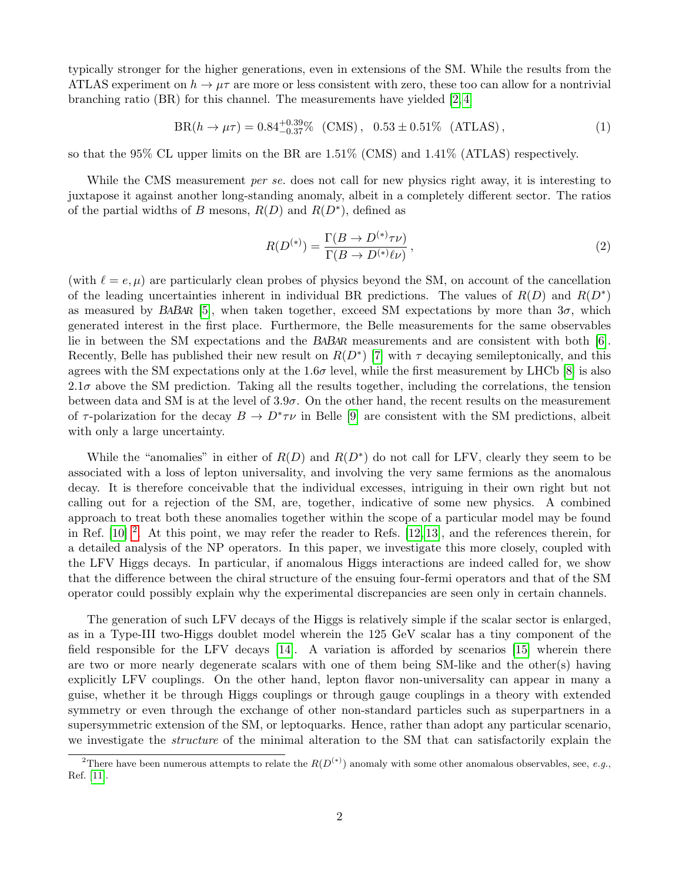typically stronger for the higher generations, even in extensions of the SM. While the results from the ATLAS experiment on  $h \to \mu\tau$  are more or less consistent with zero, these too can allow for a nontrivial branching ratio (BR) for this channel. The measurements have yielded  $[2,4]$ 

$$
BR(h \to \mu \tau) = 0.84^{+0.39}_{-0.37}\% \, (CMS), \, 0.53 \pm 0.51\% \, (ATLAS), \tag{1}
$$

so that the 95% CL upper limits on the BR are 1.51% (CMS) and 1.41% (ATLAS) respectively.

While the CMS measurement *per se*. does not call for new physics right away, it is interesting to juxtapose it against another long-standing anomaly, albeit in a completely different sector. The ratios of the partial widths of B mesons,  $R(D)$  and  $R(D^*)$ , defined as

$$
R(D^{(*)}) = \frac{\Gamma(B \to D^{(*)}\tau\nu)}{\Gamma(B \to D^{(*)}\ell\nu)},
$$
\n(2)

(with  $\ell = e, \mu$ ) are particularly clean probes of physics beyond the SM, on account of the cancellation of the leading uncertainties inherent in individual BR predictions. The values of  $R(D)$  and  $R(D^*)$ as measured by BABAR [\[5\]](#page-12-4), when taken together, exceed SM expectations by more than  $3\sigma$ , which generated interest in the first place. Furthermore, the Belle measurements for the same observables lie in between the SM expectations and the BABAR measurements and are consistent with both [\[6\]](#page-12-5). Recently, Belle has published their new result on  $R(D^*)$  [\[7\]](#page-12-6) with  $\tau$  decaying semileptonically, and this agrees with the SM expectations only at the 1.6 $\sigma$  level, while the first measurement by LHCb [\[8\]](#page-12-7) is also  $2.1\sigma$  above the SM prediction. Taking all the results together, including the correlations, the tension between data and SM is at the level of  $3.9\sigma$ . On the other hand, the recent results on the measurement of  $\tau$ -polarization for the decay  $B \to D^* \tau \nu$  in Belle [\[9\]](#page-13-0) are consistent with the SM predictions, albeit with only a large uncertainty.

While the "anomalies" in either of  $R(D)$  and  $R(D^*)$  do not call for LFV, clearly they seem to be associated with a loss of lepton universality, and involving the very same fermions as the anomalous decay. It is therefore conceivable that the individual excesses, intriguing in their own right but not calling out for a rejection of the SM, are, together, indicative of some new physics. A combined approach to treat both these anomalies together within the scope of a particular model may be found in Ref.  $[10]$ <sup>[2](#page-1-0)</sup>. At this point, we may refer the reader to Refs.  $[12, 13]$  $[12, 13]$ , and the references therein, for a detailed analysis of the NP operators. In this paper, we investigate this more closely, coupled with the LFV Higgs decays. In particular, if anomalous Higgs interactions are indeed called for, we show that the difference between the chiral structure of the ensuing four-fermi operators and that of the SM operator could possibly explain why the experimental discrepancies are seen only in certain channels.

The generation of such LFV decays of the Higgs is relatively simple if the scalar sector is enlarged, as in a Type-III two-Higgs doublet model wherein the 125 GeV scalar has a tiny component of the field responsible for the LFV decays [\[14\]](#page-13-4). A variation is afforded by scenarios [\[15\]](#page-13-5) wherein there are two or more nearly degenerate scalars with one of them being SM-like and the other(s) having explicitly LFV couplings. On the other hand, lepton flavor non-universality can appear in many a guise, whether it be through Higgs couplings or through gauge couplings in a theory with extended symmetry or even through the exchange of other non-standard particles such as superpartners in a supersymmetric extension of the SM, or leptoquarks. Hence, rather than adopt any particular scenario, we investigate the structure of the minimal alteration to the SM that can satisfactorily explain the

<span id="page-1-0"></span><sup>&</sup>lt;sup>2</sup>There have been numerous attempts to relate the  $R(D^{(*)})$  anomaly with some other anomalous observables, see, e.g., Ref. [\[11\]](#page-13-6).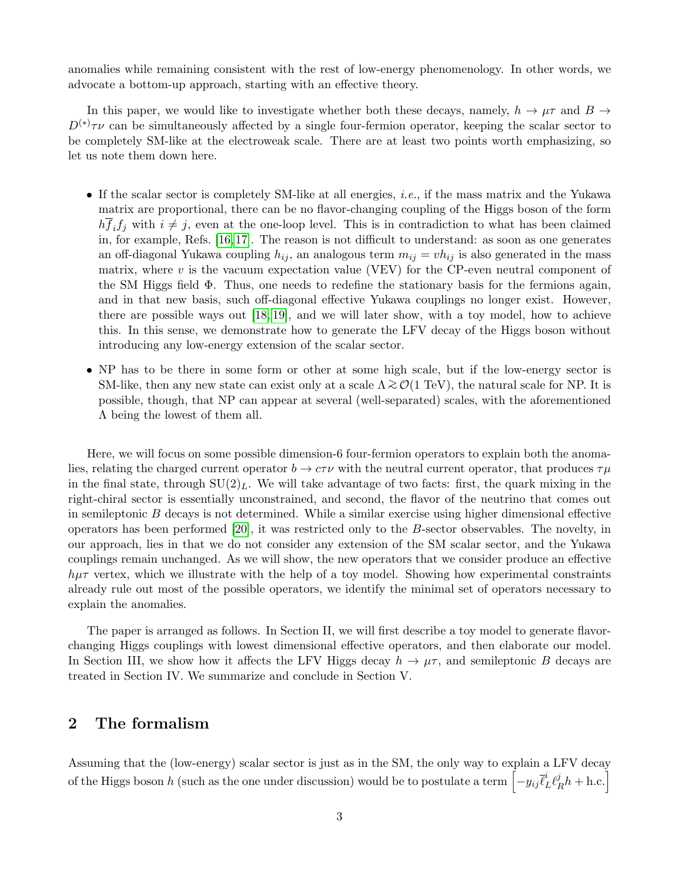anomalies while remaining consistent with the rest of low-energy phenomenology. In other words, we advocate a bottom-up approach, starting with an effective theory.

In this paper, we would like to investigate whether both these decays, namely,  $h \to \mu\tau$  and  $B \to$  $D^{(*)}\tau\nu$  can be simultaneously affected by a single four-fermion operator, keeping the scalar sector to be completely SM-like at the electroweak scale. There are at least two points worth emphasizing, so let us note them down here.

- If the scalar sector is completely SM-like at all energies, *i.e.*, if the mass matrix and the Yukawa matrix are proportional, there can be no flavor-changing coupling of the Higgs boson of the form  $h \overline{f_i} f_j$  with  $i \neq j$ , even at the one-loop level. This is in contradiction to what has been claimed in, for example, Refs. [\[16,](#page-13-7) [17\]](#page-13-8). The reason is not difficult to understand: as soon as one generates an off-diagonal Yukawa coupling  $h_{ij}$ , an analogous term  $m_{ij} = v h_{ij}$  is also generated in the mass matrix, where  $v$  is the vacuum expectation value (VEV) for the CP-even neutral component of the SM Higgs field Φ. Thus, one needs to redefine the stationary basis for the fermions again, and in that new basis, such off-diagonal effective Yukawa couplings no longer exist. However, there are possible ways out [\[18,](#page-13-9) [19\]](#page-13-10), and we will later show, with a toy model, how to achieve this. In this sense, we demonstrate how to generate the LFV decay of the Higgs boson without introducing any low-energy extension of the scalar sector.
- NP has to be there in some form or other at some high scale, but if the low-energy sector is SM-like, then any new state can exist only at a scale  $\Lambda \gtrsim \mathcal{O}(1 \text{ TeV})$ , the natural scale for NP. It is possible, though, that NP can appear at several (well-separated) scales, with the aforementioned Λ being the lowest of them all.

Here, we will focus on some possible dimension-6 four-fermion operators to explain both the anomalies, relating the charged current operator  $b \to c\tau\nu$  with the neutral current operator, that produces  $\tau\mu$ in the final state, through  $SU(2)<sub>L</sub>$ . We will take advantage of two facts: first, the quark mixing in the right-chiral sector is essentially unconstrained, and second, the flavor of the neutrino that comes out in semileptonic  $B$  decays is not determined. While a similar exercise using higher dimensional effective operators has been performed [\[20\]](#page-14-0), it was restricted only to the B-sector observables. The novelty, in our approach, lies in that we do not consider any extension of the SM scalar sector, and the Yukawa couplings remain unchanged. As we will show, the new operators that we consider produce an effective  $h\mu\tau$  vertex, which we illustrate with the help of a toy model. Showing how experimental constraints already rule out most of the possible operators, we identify the minimal set of operators necessary to explain the anomalies.

The paper is arranged as follows. In Section II, we will first describe a toy model to generate flavorchanging Higgs couplings with lowest dimensional effective operators, and then elaborate our model. In Section III, we show how it affects the LFV Higgs decay  $h \to \mu\tau$ , and semileptonic B decays are treated in Section IV. We summarize and conclude in Section V.

# 2 The formalism

Assuming that the (low-energy) scalar sector is just as in the SM, the only way to explain a LFV decay of the Higgs boson  $h$  (such as the one under discussion) would be to postulate a term  $\left[-y_{ij}\bar{\ell}_L^i\ell_P^j\right]$  $\frac{j}{R}h + \text{h.c.}$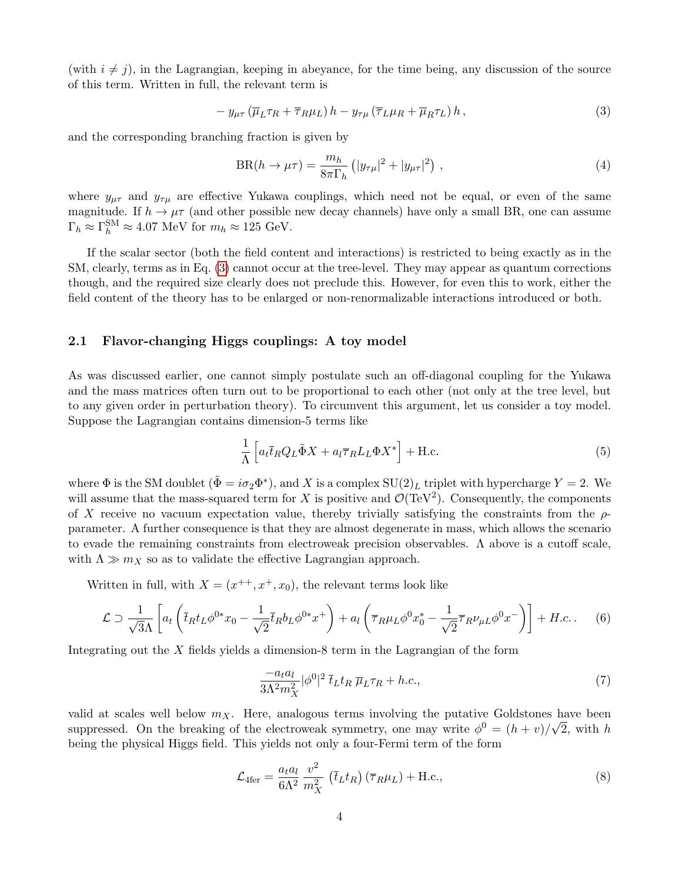(with  $i \neq j$ ), in the Lagrangian, keeping in abeyance, for the time being, any discussion of the source of this term. Written in full, the relevant term is

<span id="page-3-0"></span>
$$
- y_{\mu\tau} \left( \overline{\mu}_L \tau_R + \overline{\tau}_R \mu_L \right) h - y_{\tau\mu} \left( \overline{\tau}_L \mu_R + \overline{\mu}_R \tau_L \right) h , \qquad (3)
$$

and the corresponding branching fraction is given by

$$
BR(h \to \mu \tau) = \frac{m_h}{8\pi \Gamma_h} \left( |y_{\tau\mu}|^2 + |y_{\mu\tau}|^2 \right) , \qquad (4)
$$

where  $y_{\mu\tau}$  and  $y_{\tau\mu}$  are effective Yukawa couplings, which need not be equal, or even of the same magnitude. If  $h \to \mu\tau$  (and other possible new decay channels) have only a small BR, one can assume  $\Gamma_h \approx \Gamma_h^{\text{SM}} \approx 4.07 \text{ MeV for } m_h \approx 125 \text{ GeV}.$ 

If the scalar sector (both the field content and interactions) is restricted to being exactly as in the SM, clearly, terms as in Eq. [\(3\)](#page-3-0) cannot occur at the tree-level. They may appear as quantum corrections though, and the required size clearly does not preclude this. However, for even this to work, either the field content of the theory has to be enlarged or non-renormalizable interactions introduced or both.

#### 2.1 Flavor-changing Higgs couplings: A toy model

As was discussed earlier, one cannot simply postulate such an off-diagonal coupling for the Yukawa and the mass matrices often turn out to be proportional to each other (not only at the tree level, but to any given order in perturbation theory). To circumvent this argument, let us consider a toy model. Suppose the Lagrangian contains dimension-5 terms like

$$
\frac{1}{\Lambda} \left[ a_t \overline{t}_R Q_L \tilde{\Phi} X + a_l \overline{\tau}_R L_L \Phi X^* \right] + \text{H.c.}
$$
\n<sup>(5)</sup>

where  $\Phi$  is the SM doublet  $(\tilde{\Phi} = i\sigma_2 \Phi^*)$ , and X is a complex  $SU(2)_L$  triplet with hypercharge  $Y = 2$ . We will assume that the mass-squared term for X is positive and  $\mathcal{O}(\text{TeV}^2)$ . Consequently, the components of X receive no vacuum expectation value, thereby trivially satisfying the constraints from the  $\rho$ parameter. A further consequence is that they are almost degenerate in mass, which allows the scenario to evade the remaining constraints from electroweak precision observables. Λ above is a cutoff scale, with  $\Lambda \gg m_X$  so as to validate the effective Lagrangian approach.

Written in full, with  $X = (x^{++}, x^+, x_0)$ , the relevant terms look like

$$
\mathcal{L} \supset \frac{1}{\sqrt{3}\Lambda} \left[ a_t \left( \bar{t}_R t_L \phi^{0*} x_0 - \frac{1}{\sqrt{2}} \bar{t}_R b_L \phi^{0*} x^+ \right) + a_t \left( \bar{\tau}_R \mu_L \phi^0 x_0^* - \frac{1}{\sqrt{2}} \bar{\tau}_R \nu_{\mu L} \phi^0 x^- \right) \right] + H.c. \tag{6}
$$

Integrating out the  $X$  fields yields a dimension-8 term in the Lagrangian of the form

$$
\frac{-a_t a_l}{3\Lambda^2 m_X^2} |\phi^0|^2 \bar{t}_L t_R \, \overline{\mu}_L \tau_R + h.c., \tag{7}
$$

valid at scales well below  $m_X$ . Here, analogous terms involving the putative Goldstones have been suppressed. On the breaking of the electroweak symmetry, one may write  $\phi^0 = (h + v)/\sqrt{2}$ , with h being the physical Higgs field. This yields not only a four-Fermi term of the form

<span id="page-3-1"></span>
$$
\mathcal{L}_{4\text{fer}} = \frac{a_t a_l}{6\Lambda^2} \frac{v^2}{m_X^2} \left( \bar{t}_L t_R \right) \left( \overline{\tau}_R \mu_L \right) + \text{H.c.},\tag{8}
$$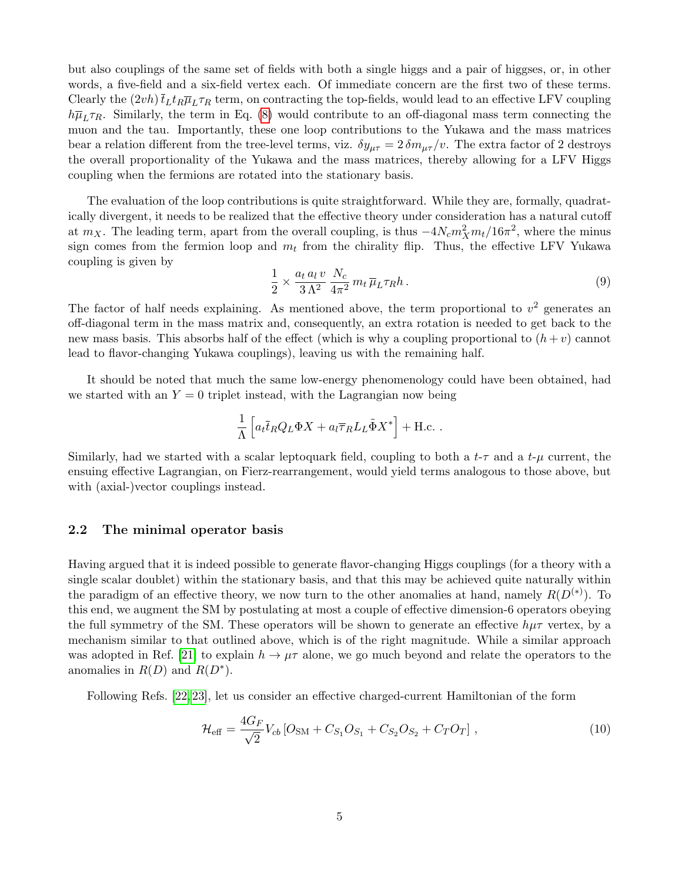but also couplings of the same set of fields with both a single higgs and a pair of higgses, or, in other words, a five-field and a six-field vertex each. Of immediate concern are the first two of these terms. Clearly the  $(2vh)\bar{t}_Lt_R\bar{\mu}_L\tau_R$  term, on contracting the top-fields, would lead to an effective LFV coupling  $h\overline{\mu}_L\tau_R$ . Similarly, the term in Eq. [\(8\)](#page-3-1) would contribute to an off-diagonal mass term connecting the muon and the tau. Importantly, these one loop contributions to the Yukawa and the mass matrices bear a relation different from the tree-level terms, viz.  $\delta y_{\mu\tau} = 2 \delta m_{\mu\tau}/v$ . The extra factor of 2 destroys the overall proportionality of the Yukawa and the mass matrices, thereby allowing for a LFV Higgs coupling when the fermions are rotated into the stationary basis.

The evaluation of the loop contributions is quite straightforward. While they are, formally, quadratically divergent, it needs to be realized that the effective theory under consideration has a natural cutoff at  $m_X$ . The leading term, apart from the overall coupling, is thus  $-4N_c m_X^2 m_t/16\pi^2$ , where the minus sign comes from the fermion loop and  $m_t$  from the chirality flip. Thus, the effective LFV Yukawa coupling is given by

$$
\frac{1}{2} \times \frac{a_t a_l v}{3 \Lambda^2} \frac{N_c}{4\pi^2} m_t \overline{\mu}_L \tau_R h \,. \tag{9}
$$

The factor of half needs explaining. As mentioned above, the term proportional to  $v^2$  generates an off-diagonal term in the mass matrix and, consequently, an extra rotation is needed to get back to the new mass basis. This absorbs half of the effect (which is why a coupling proportional to  $(h + v)$  cannot lead to flavor-changing Yukawa couplings), leaving us with the remaining half.

It should be noted that much the same low-energy phenomenology could have been obtained, had we started with an  $Y = 0$  triplet instead, with the Lagrangian now being

$$
\frac{1}{\Lambda} \left[ a_t \overline{t}_R Q_L \Phi X + a_l \overline{\tau}_R L_L \tilde{\Phi} X^* \right] + \text{H.c.} .
$$

Similarly, had we started with a scalar leptoquark field, coupling to both a  $t-\tau$  and a  $t-\mu$  current, the ensuing effective Lagrangian, on Fierz-rearrangement, would yield terms analogous to those above, but with (axial-)vector couplings instead.

#### 2.2 The minimal operator basis

Having argued that it is indeed possible to generate flavor-changing Higgs couplings (for a theory with a single scalar doublet) within the stationary basis, and that this may be achieved quite naturally within the paradigm of an effective theory, we now turn to the other anomalies at hand, namely  $R(D^{(*)})$ . To this end, we augment the SM by postulating at most a couple of effective dimension-6 operators obeying the full symmetry of the SM. These operators will be shown to generate an effective  $h\mu\tau$  vertex, by a mechanism similar to that outlined above, which is of the right magnitude. While a similar approach was adopted in Ref. [\[21\]](#page-14-1) to explain  $h \to \mu\tau$  alone, we go much beyond and relate the operators to the anomalies in  $R(D)$  and  $R(D^*)$ .

Following Refs. [\[22,](#page-14-2) [23\]](#page-14-3), let us consider an effective charged-current Hamiltonian of the form

<span id="page-4-0"></span>
$$
\mathcal{H}_{\text{eff}} = \frac{4G_F}{\sqrt{2}} V_{cb} \left[ O_{\text{SM}} + C_{S_1} O_{S_1} + C_{S_2} O_{S_2} + C_T O_T \right],\tag{10}
$$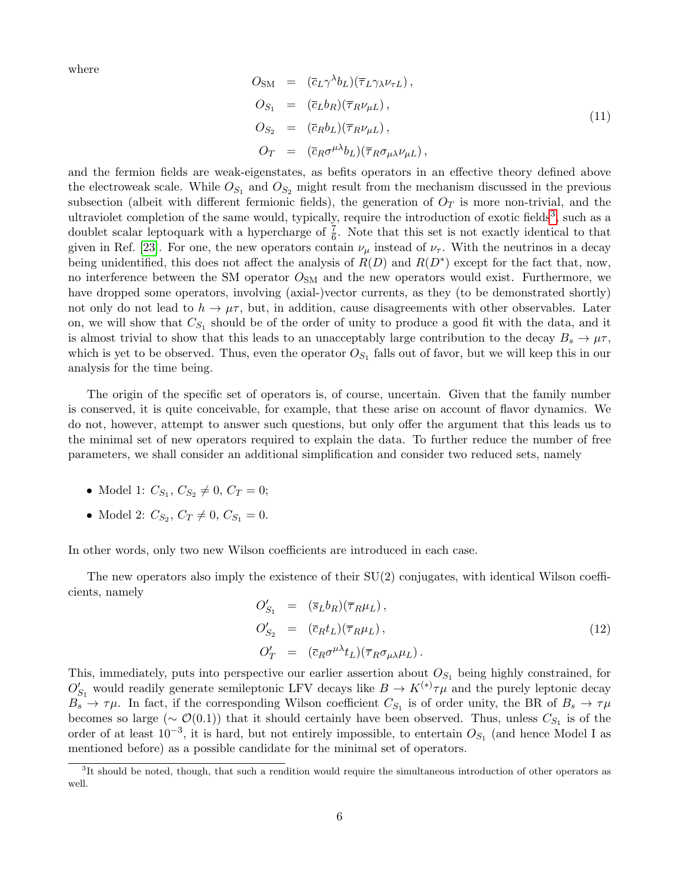where

<span id="page-5-2"></span>
$$
O_{SM} = (\bar{c}_L \gamma^{\lambda} b_L)(\bar{\tau}_L \gamma_{\lambda} \nu_{\tau L}),
$$
  
\n
$$
O_{S_1} = (\bar{c}_L b_R)(\bar{\tau}_R \nu_{\mu L}),
$$
  
\n
$$
O_{S_2} = (\bar{c}_R b_L)(\bar{\tau}_R \nu_{\mu L}),
$$
  
\n
$$
O_T = (\bar{c}_R \sigma^{\mu \lambda} b_L)(\bar{\tau}_R \sigma_{\mu \lambda} \nu_{\mu L}),
$$
\n
$$
(11)
$$

and the fermion fields are weak-eigenstates, as befits operators in an effective theory defined above the electroweak scale. While  $O_{S_1}$  and  $O_{S_2}$  might result from the mechanism discussed in the previous subsection (albeit with different fermionic fields), the generation of  $O_T$  is more non-trivial, and the ultraviolet completion of the same would, typically, require the introduction of exotic fields<sup>[3](#page-5-0)</sup>, such as a doublet scalar leptoquark with a hypercharge of  $\frac{7}{6}$ . Note that this set is not exactly identical to that given in Ref. [\[23\]](#page-14-3). For one, the new operators contain  $\nu_{\mu}$  instead of  $\nu_{\tau}$ . With the neutrinos in a decay being unidentified, this does not affect the analysis of  $R(D)$  and  $R(D^*)$  except for the fact that, now, no interference between the SM operator  $O_{SM}$  and the new operators would exist. Furthermore, we have dropped some operators, involving (axial-)vector currents, as they (to be demonstrated shortly) not only do not lead to  $h \to \mu\tau$ , but, in addition, cause disagreements with other observables. Later on, we will show that  $C_{S_1}$  should be of the order of unity to produce a good fit with the data, and it is almost trivial to show that this leads to an unacceptably large contribution to the decay  $B_s \to \mu \tau$ , which is yet to be observed. Thus, even the operator  $O_{S_1}$  falls out of favor, but we will keep this in our analysis for the time being.

The origin of the specific set of operators is, of course, uncertain. Given that the family number is conserved, it is quite conceivable, for example, that these arise on account of flavor dynamics. We do not, however, attempt to answer such questions, but only offer the argument that this leads us to the minimal set of new operators required to explain the data. To further reduce the number of free parameters, we shall consider an additional simplification and consider two reduced sets, namely

- Model 1:  $C_{S_1}, C_{S_2} \neq 0, C_T = 0;$
- Model 2:  $C_{S_2}$ ,  $C_T \neq 0$ ,  $C_{S_1} = 0$ .

In other words, only two new Wilson coefficients are introduced in each case.

The new operators also imply the existence of their  $SU(2)$  conjugates, with identical Wilson coefficients, namely

<span id="page-5-1"></span>
$$
O'_{S_1} = (\bar{s}_L b_R)(\bar{\tau}_R \mu_L),
$$
  
\n
$$
O'_{S_2} = (\bar{c}_R t_L)(\bar{\tau}_R \mu_L),
$$
  
\n
$$
O'_{T} = (\bar{c}_R \sigma^{\mu \lambda} t_L)(\bar{\tau}_R \sigma_{\mu \lambda} \mu_L).
$$
\n(12)

This, immediately, puts into perspective our earlier assertion about  $O_{S_1}$  being highly constrained, for  $O'_{S_1}$  would readily generate semileptonic LFV decays like  $B \to K^{(*)}\tau\mu$  and the purely leptonic decay  $B_s \to \tau \mu$ . In fact, if the corresponding Wilson coefficient  $C_{S_1}$  is of order unity, the BR of  $B_s \to \tau \mu$ becomes so large ( $\sim \mathcal{O}(0.1)$ ) that it should certainly have been observed. Thus, unless  $C_{S_1}$  is of the order of at least  $10^{-3}$ , it is hard, but not entirely impossible, to entertain  $O_{S_1}$  (and hence Model I as mentioned before) as a possible candidate for the minimal set of operators.

<span id="page-5-0"></span><sup>&</sup>lt;sup>3</sup>It should be noted, though, that such a rendition would require the simultaneous introduction of other operators as well.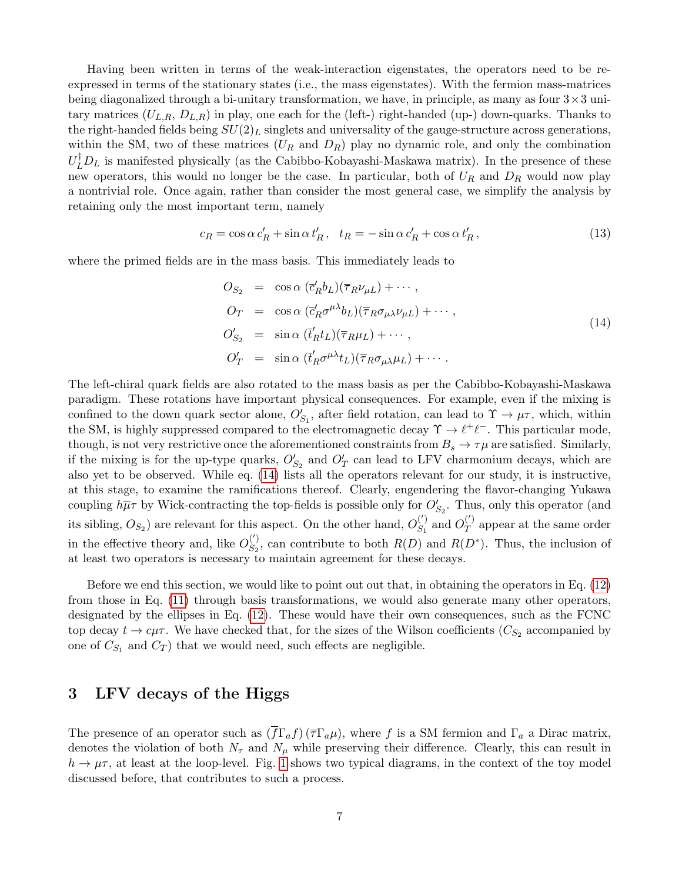Having been written in terms of the weak-interaction eigenstates, the operators need to be reexpressed in terms of the stationary states (i.e., the mass eigenstates). With the fermion mass-matrices being diagonalized through a bi-unitary transformation, we have, in principle, as many as four  $3 \times 3$  unitary matrices  $(U_{L,R}, D_{L,R})$  in play, one each for the (left-) right-handed (up-) down-quarks. Thanks to the right-handed fields being  $SU(2)_L$  singlets and universality of the gauge-structure across generations, within the SM, two of these matrices  $(U_R \text{ and } D_R)$  play no dynamic role, and only the combination  $U_L^{\dagger}D_L$  is manifested physically (as the Cabibbo-Kobayashi-Maskawa matrix). In the presence of these new operators, this would no longer be the case. In particular, both of  $U_R$  and  $D_R$  would now play a nontrivial role. Once again, rather than consider the most general case, we simplify the analysis by retaining only the most important term, namely

$$
c_R = \cos \alpha \, c'_R + \sin \alpha \, t'_R, \quad t_R = -\sin \alpha \, c'_R + \cos \alpha \, t'_R, \tag{13}
$$

where the primed fields are in the mass basis. This immediately leads to

<span id="page-6-0"></span>
$$
O_{S_2} = \cos \alpha \left( \overline{c}'_R b_L \right) \left( \overline{\tau}_R \nu_{\mu L} \right) + \cdots,
$$
  
\n
$$
O_T = \cos \alpha \left( \overline{c}'_R \sigma^{\mu \lambda} b_L \right) \left( \overline{\tau}_R \sigma_{\mu \lambda} \nu_{\mu L} \right) + \cdots,
$$
  
\n
$$
O'_{S_2} = \sin \alpha \left( \overline{t}'_R t_L \right) \left( \overline{\tau}_R \mu_L \right) + \cdots,
$$
  
\n
$$
O'_T = \sin \alpha \left( \overline{t}'_R \sigma^{\mu \lambda} t_L \right) \left( \overline{\tau}_R \sigma_{\mu \lambda} \mu_L \right) + \cdots.
$$
\n(14)

The left-chiral quark fields are also rotated to the mass basis as per the Cabibbo-Kobayashi-Maskawa paradigm. These rotations have important physical consequences. For example, even if the mixing is confined to the down quark sector alone,  $O'_{S_1}$ , after field rotation, can lead to  $\Upsilon \to \mu \tau$ , which, within the SM, is highly suppressed compared to the electromagnetic decay  $\Upsilon \to \ell^+ \ell^-$ . This particular mode, though, is not very restrictive once the aforementioned constraints from  $B_s \to \tau \mu$  are satisfied. Similarly, if the mixing is for the up-type quarks,  $O'_{S_2}$  and  $O'_{T}$  can lead to LFV charmonium decays, which are also yet to be observed. While eq. [\(14\)](#page-6-0) lists all the operators relevant for our study, it is instructive, at this stage, to examine the ramifications thereof. Clearly, engendering the flavor-changing Yukawa coupling  $h\overline{\mu}\tau$  by Wick-contracting the top-fields is possible only for  $O'_{S_2}$ . Thus, only this operator (and its sibling,  $O_{S_2}$ ) are relevant for this aspect. On the other hand,  $O_{S_1}^{(')}$  $S_1^{(')}$  and  $O_T^{(')}$  $T^{(1)}$  appear at the same order in the effective theory and, like  $O_{S_2}^{(')}$  $S_2^{(')}$ , can contribute to both  $R(D)$  and  $R(D^*)$ . Thus, the inclusion of at least two operators is necessary to maintain agreement for these decays.

Before we end this section, we would like to point out out that, in obtaining the operators in Eq. [\(12\)](#page-5-1) from those in Eq. [\(11\)](#page-5-2) through basis transformations, we would also generate many other operators, designated by the ellipses in Eq. [\(12\)](#page-5-1). These would have their own consequences, such as the FCNC top decay  $t \to c\mu\tau$ . We have checked that, for the sizes of the Wilson coefficients  $(C_{S_2}$  accompanied by one of  $C_{S_1}$  and  $C_T$ ) that we would need, such effects are negligible.

## 3 LFV decays of the Higgs

The presence of an operator such as  $(\overline{f}\Gamma_a f)(\overline{\tau}\Gamma_a\mu)$ , where f is a SM fermion and  $\Gamma_a$  a Dirac matrix, denotes the violation of both  $N_{\tau}$  and  $N_{\mu}$  while preserving their difference. Clearly, this can result in  $h \to \mu\tau$ , at least at the loop-level. Fig. [1](#page-7-0) shows two typical diagrams, in the context of the toy model discussed before, that contributes to such a process.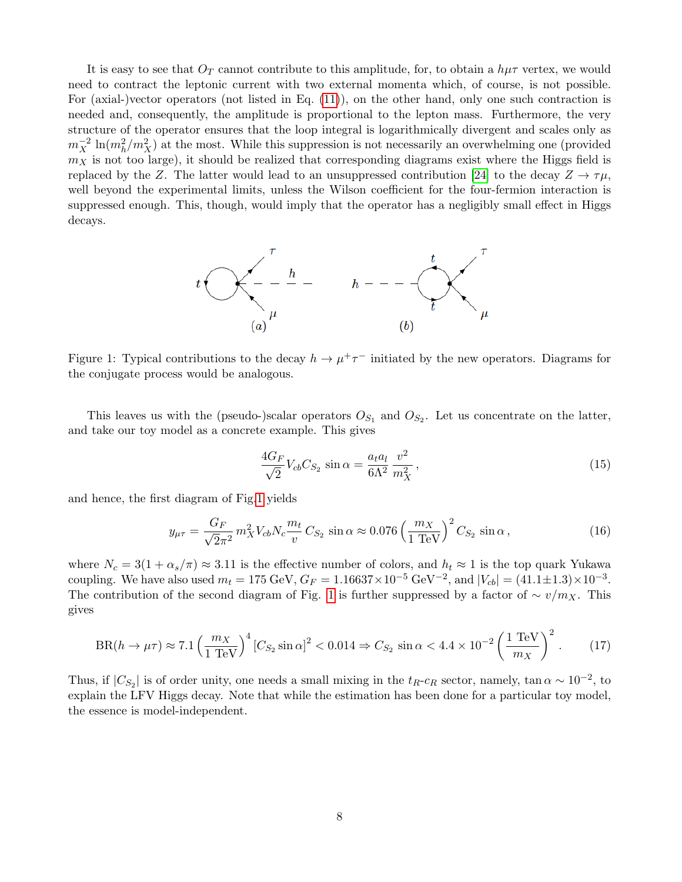It is easy to see that  $O_T$  cannot contribute to this amplitude, for, to obtain a  $h\mu\tau$  vertex, we would need to contract the leptonic current with two external momenta which, of course, is not possible. For (axial-)vector operators (not listed in Eq. [\(11\)](#page-5-2)), on the other hand, only one such contraction is needed and, consequently, the amplitude is proportional to the lepton mass. Furthermore, the very structure of the operator ensures that the loop integral is logarithmically divergent and scales only as  $m_X^{-2} \ln(m_h^2/m_X^2)$  at the most. While this suppression is not necessarily an overwhelming one (provided  $m<sub>X</sub>$  is not too large), it should be realized that corresponding diagrams exist where the Higgs field is replaced by the Z. The latter would lead to an unsuppressed contribution [\[24\]](#page-14-4) to the decay  $Z \to \tau \mu$ , well beyond the experimental limits, unless the Wilson coefficient for the four-fermion interaction is suppressed enough. This, though, would imply that the operator has a negligibly small effect in Higgs decays.



<span id="page-7-0"></span>Figure 1: Typical contributions to the decay  $h \to \mu^+ \tau^-$  initiated by the new operators. Diagrams for the conjugate process would be analogous.

This leaves us with the (pseudo-)scalar operators  $O_{S_1}$  and  $O_{S_2}$ . Let us concentrate on the latter, and take our toy model as a concrete example. This gives

$$
\frac{4G_F}{\sqrt{2}}V_{cb}C_{S_2}\sin\alpha = \frac{a_t a_l}{6\Lambda^2}\frac{v^2}{m_X^2},\qquad(15)
$$

and hence, the first diagram of Fig[.1](#page-7-0) yields

$$
y_{\mu\tau} = \frac{G_F}{\sqrt{2}\pi^2} m_X^2 V_{cb} N_c \frac{m_t}{v} C_{S_2} \sin \alpha \approx 0.076 \left(\frac{m_X}{1 \text{ TeV}}\right)^2 C_{S_2} \sin \alpha, \qquad (16)
$$

where  $N_c = 3(1 + \alpha_s/\pi) \approx 3.11$  is the effective number of colors, and  $h_t \approx 1$  is the top quark Yukawa coupling. We have also used  $m_t = 175 \text{ GeV}, G_F = 1.16637 \times 10^{-5} \text{ GeV}^{-2}$ , and  $|V_{cb}| = (41.1 \pm 1.3) \times 10^{-3}$ . The contribution of the second diagram of Fig. [1](#page-7-0) is further suppressed by a factor of  $\sim v/m_X$ . This gives

$$
BR(h \to \mu \tau) \approx 7.1 \left(\frac{m_X}{1 \text{ TeV}}\right)^4 \left[C_{S_2} \sin \alpha\right]^2 < 0.014 \Rightarrow C_{S_2} \sin \alpha < 4.4 \times 10^{-2} \left(\frac{1 \text{ TeV}}{m_X}\right)^2. \tag{17}
$$

Thus, if  $|C_{S_2}|$  is of order unity, one needs a small mixing in the  $t_R$ - $c_R$  sector, namely, tan  $\alpha \sim 10^{-2}$ , to explain the LFV Higgs decay. Note that while the estimation has been done for a particular toy model, the essence is model-independent.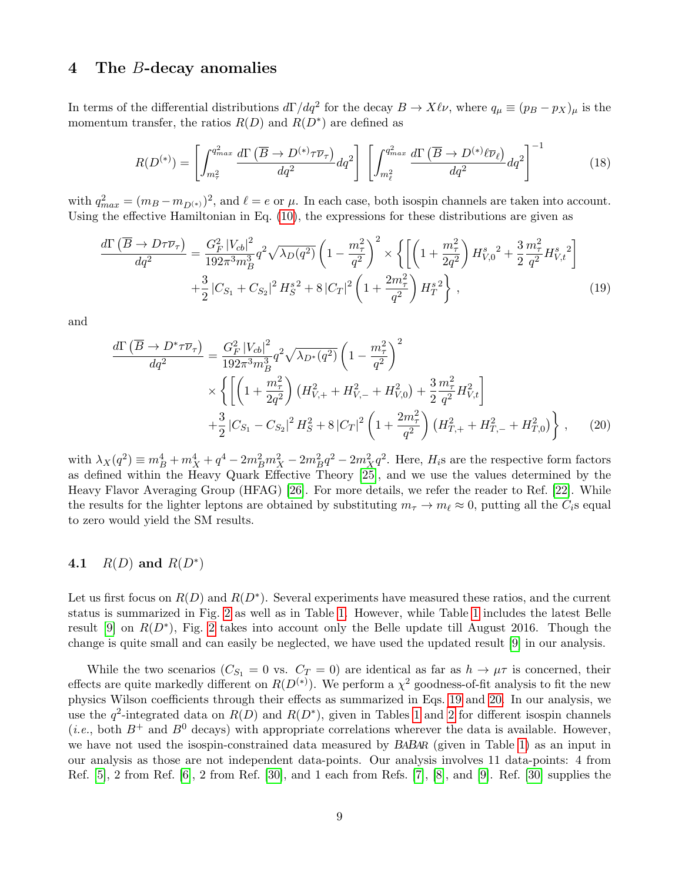### 4 The B-decay anomalies

In terms of the differential distributions  $d\Gamma/dq^2$  for the decay  $B \to X\ell\nu$ , where  $q_\mu \equiv (p_B - p_X)_\mu$  is the momentum transfer, the ratios  $R(D)$  and  $R(D^*)$  are defined as

<span id="page-8-0"></span>
$$
R(D^{(*)}) = \left[ \int_{m_{\tau}^2}^{q_{max}^2} \frac{d\Gamma\left(\overline{B} \to D^{(*)}\tau\overline{\nu}_{\tau}\right)}{dq^2} dq^2 \right] \left[ \int_{m_{\ell}^2}^{q_{max}^2} \frac{d\Gamma\left(\overline{B} \to D^{(*)}\ell\overline{\nu}_{\ell}\right)}{dq^2} dq^2 \right]^{-1} \tag{18}
$$

with  $q_{max}^2 = (m_B - m_{D^{(*)}})^2$ , and  $\ell = e$  or  $\mu$ . In each case, both isospin channels are taken into account. Using the effective Hamiltonian in Eq. [\(10\)](#page-4-0), the expressions for these distributions are given as

$$
\frac{d\Gamma\left(\overline{B}\to D\tau\overline{\nu}_{\tau}\right)}{dq^2} = \frac{G_F^2 |V_{cb}|^2}{192\pi^3 m_B^3} q^2 \sqrt{\lambda_D(q^2)} \left(1 - \frac{m_\tau^2}{q^2}\right)^2 \times \left\{ \left[ \left(1 + \frac{m_\tau^2}{2q^2}\right) H_{V,0}^s{}^2 + \frac{3}{2} \frac{m_\tau^2}{q^2} H_{V,t}^s{}^2 \right] \right. \\ \left. + \frac{3}{2} |C_{S_1} + C_{S_2}|^2 H_S^{s^2} + 8 |C_T|^2 \left(1 + \frac{2m_\tau^2}{q^2}\right) H_T^{s^2} \right\} \,, \tag{19}
$$

and

<span id="page-8-1"></span>
$$
\frac{d\Gamma\left(\overline{B}\to D^*\tau\overline{\nu}_{\tau}\right)}{dq^2} = \frac{G_F^2 |V_{cb}|^2}{192\pi^3 m_B^3} q^2 \sqrt{\lambda_{D^*}(q^2)} \left(1 - \frac{m_{\tau}^2}{q^2}\right)^2
$$
  
 
$$
\times \left\{ \left[ \left(1 + \frac{m_{\tau}^2}{2q^2}\right) \left(H_{V,+}^2 + H_{V,-}^2 + H_{V,0}^2\right) + \frac{3}{2} \frac{m_{\tau}^2}{q^2} H_{V,t}^2 \right] + \frac{3}{2} |C_{S_1} - C_{S_2}|^2 H_S^2 + 8 |C_T|^2 \left(1 + \frac{2m_{\tau}^2}{q^2}\right) \left(H_{T,+}^2 + H_{T,-}^2 + H_{T,0}^2\right) \right\}, \quad (20)
$$

with  $\lambda_X(q^2) \equiv m_B^4 + m_X^4 + q^4 - 2m_B^2m_X^2 - 2m_B^2q^2 - 2m_X^2q^2$ . Here,  $H_i$ s are the respective form factors as defined within the Heavy Quark Effective Theory [\[25\]](#page-14-5), and we use the values determined by the Heavy Flavor Averaging Group (HFAG) [\[26\]](#page-14-6). For more details, we refer the reader to Ref. [\[22\]](#page-14-2). While the results for the lighter leptons are obtained by substituting  $m_\tau \to m_\ell \approx 0$ , putting all the  $C_i$ s equal to zero would yield the SM results.

### 4.1  $R(D)$  and  $R(D^*)$

Let us first focus on  $R(D)$  and  $R(D^*)$ . Several experiments have measured these ratios, and the current status is summarized in Fig. [2](#page-9-0) as well as in Table [1.](#page-9-1) However, while Table [1](#page-9-1) includes the latest Belle result [\[9\]](#page-13-0) on  $R(D^*)$ , Fig. [2](#page-9-0) takes into account only the Belle update till August 2016. Though the change is quite small and can easily be neglected, we have used the updated result [\[9\]](#page-13-0) in our analysis.

While the two scenarios ( $C_{S_1} = 0$  vs.  $C_T = 0$ ) are identical as far as  $h \to \mu \tau$  is concerned, their effects are quite markedly different on  $R(D^{(*)})$ . We perform a  $\chi^2$  goodness-of-fit analysis to fit the new physics Wilson coefficients through their effects as summarized in Eqs. [19](#page-8-0) and [20.](#page-8-1) In our analysis, we use the  $q^2$ -integrated data on  $R(D)$  and  $R(D^*)$ , given in Tables [1](#page-9-1) and [2](#page-9-2) for different isospin channels (*i.e.*, both  $B^+$  and  $B^0$  decays) with appropriate correlations wherever the data is available. However, we have not used the isospin-constrained data measured by BABAR (given in Table [1\)](#page-9-1) as an input in our analysis as those are not independent data-points. Our analysis involves 11 data-points: 4 from Ref. [\[5\]](#page-12-4), 2 from Ref. [\[6\]](#page-12-5), 2 from Ref. [\[30\]](#page-14-7), and 1 each from Refs. [\[7\]](#page-12-6), [\[8\]](#page-12-7), and [\[9\]](#page-13-0). Ref. [\[30\]](#page-14-7) supplies the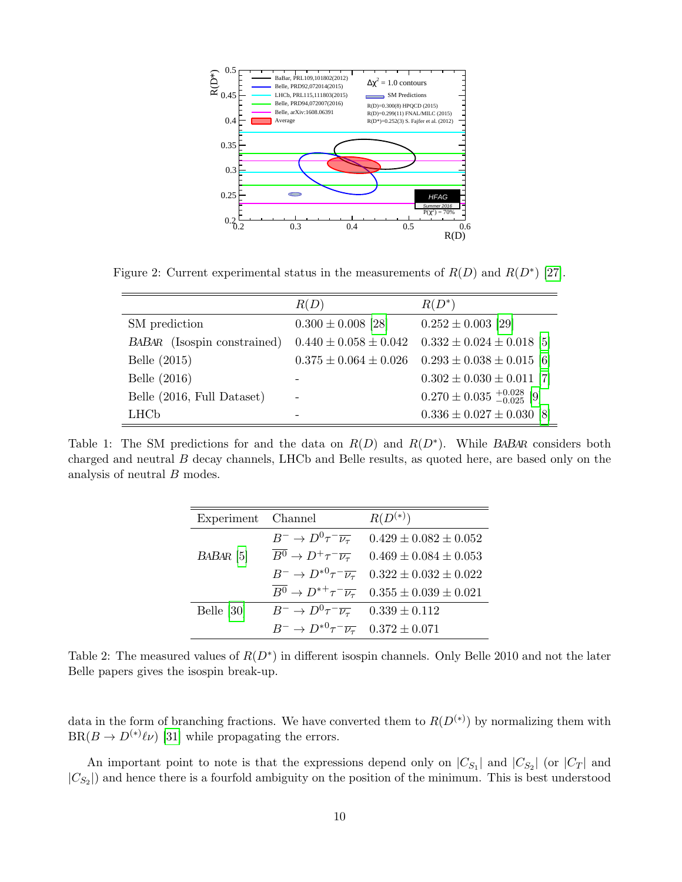

<span id="page-9-0"></span>Figure 2: Current experimental status in the measurements of  $R(D)$  and  $R(D^*)$  [\[27\]](#page-14-8).

|                             | R(D)                        | $R(D^*)$                                |
|-----------------------------|-----------------------------|-----------------------------------------|
| SM prediction               | $0.300 \pm 0.008$ [28]      | $0.252 \pm 0.003$ [29]                  |
| BABAR (Isospin constrained) | $0.440 \pm 0.058 \pm 0.042$ | $0.332 \pm 0.024 \pm 0.018$ [5]         |
| Belle (2015)                | $0.375 \pm 0.064 \pm 0.026$ | $0.293 \pm 0.038 \pm 0.015$ [6]         |
| Belle (2016)                |                             | $0.302 \pm 0.030 \pm 0.011$ [7]         |
| Belle (2016, Full Dataset)  |                             | $0.270 \pm 0.035 \pm 0.028 \ 0.025$ [9] |
| <b>LHC<sub>b</sub></b>      |                             | $0.336 \pm 0.027 \pm 0.030$ [8]         |

<span id="page-9-1"></span>Table 1: The SM predictions for and the data on  $R(D)$  and  $R(D^*)$ . While BABAR considers both charged and neutral B decay channels, LHCb and Belle results, as quoted here, are based only on the analysis of neutral B modes.

| Experiment Channel |                                                             | $R(D^{(*)})$                                                                         |
|--------------------|-------------------------------------------------------------|--------------------------------------------------------------------------------------|
|                    |                                                             | $B^- \to D^0 \tau^- \overline{\nu_\tau}$ 0.429 ± 0.082 ± 0.052                       |
| $BABAR$ [5]        |                                                             | $\overline{B^0} \rightarrow D^+\tau^-\overline{\nu_{\tau}}$ 0.469 ± 0.084 ± 0.053    |
|                    |                                                             | $B^ \rightarrow D^{*0}\tau^-\overline{\nu_{\tau}}$ 0.322 $\pm$ 0.032 $\pm$ 0.022     |
|                    |                                                             | $\overline{B^0} \rightarrow D^{*+} \tau^- \overline{\nu_\tau}$ 0.355 ± 0.039 ± 0.021 |
| Belle [30]         | $B^- \to D^0 \tau^- \overline{\nu_{\tau}}$ 0.339 ± 0.112    |                                                                                      |
|                    | $B^- \to D^{*0} \tau^- \overline{\nu_{\tau}}$ 0.372 ± 0.071 |                                                                                      |

<span id="page-9-2"></span>Table 2: The measured values of  $R(D^*)$  in different isospin channels. Only Belle 2010 and not the later Belle papers gives the isospin break-up.

data in the form of branching fractions. We have converted them to  $R(D<sup>(*)</sup>)$  by normalizing them with  $BR(B \to D^{(*)} \ell \nu)$  [\[31\]](#page-14-11) while propagating the errors.

An important point to note is that the expressions depend only on  $|C_{S_1}|$  and  $|C_{S_2}|$  (or  $|C_T|$  and  $|C_{S_2}|$  and hence there is a fourfold ambiguity on the position of the minimum. This is best understood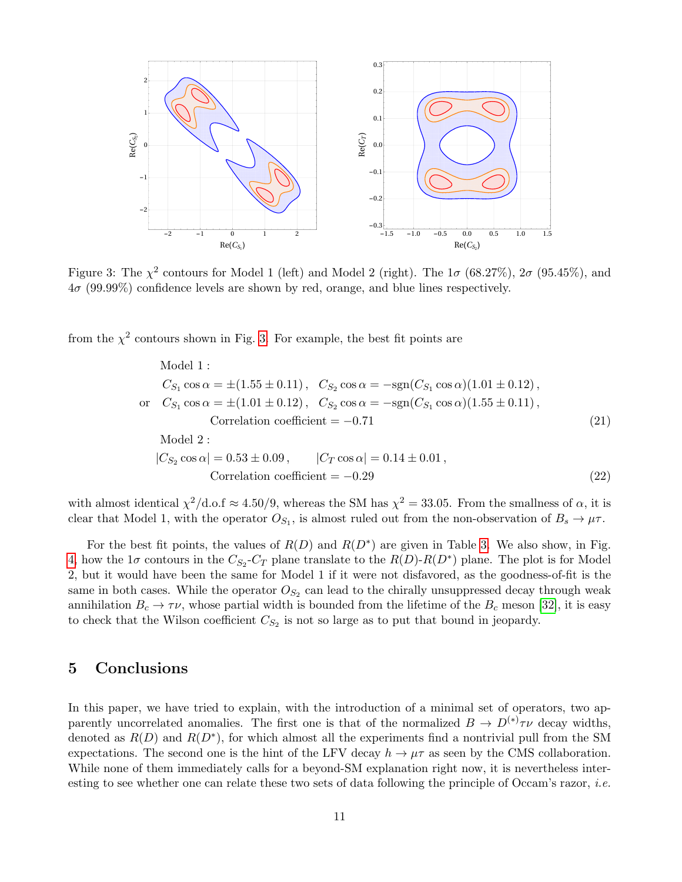

<span id="page-10-0"></span>Figure 3: The  $\chi^2$  contours for Model 1 (left) and Model 2 (right). The  $1\sigma$  (68.27%),  $2\sigma$  (95.45%), and  $4\sigma$  (99.99%) confidence levels are shown by red, orange, and blue lines respectively.

from the  $\chi^2$  contours shown in Fig. [3.](#page-10-0) For example, the best fit points are

<span id="page-10-1"></span>Model 1 :  
\n
$$
C_{S_1} \cos \alpha = \pm (1.55 \pm 0.11), \quad C_{S_2} \cos \alpha = -\text{sgn}(C_{S_1} \cos \alpha)(1.01 \pm 0.12),
$$
\nor  $C_{S_1} \cos \alpha = \pm (1.01 \pm 0.12), \quad C_{S_2} \cos \alpha = -\text{sgn}(C_{S_1} \cos \alpha)(1.55 \pm 0.11),$   
\nCorrelation coefficient = -0.71 (21)  
\nModel 2 :  
\n
$$
|C_{S_2} \cos \alpha| = 0.53 \pm 0.09, \qquad |C_T \cos \alpha| = 0.14 \pm 0.01,
$$
  
\nCorrelation coefficient = -0.29 (22)

with almost identical  $\chi^2/\text{d.o.f} \approx 4.50/9$ , whereas the SM has  $\chi^2 = 33.05$ . From the smallness of  $\alpha$ , it is clear that Model 1, with the operator  $O_{S_1}$ , is almost ruled out from the non-observation of  $B_s \to \mu\tau$ .

For the best fit points, the values of  $R(D)$  and  $R(D^*)$  are given in Table [3.](#page-11-0) We also show, in Fig. [4,](#page-11-1) how the  $1\sigma$  contours in the  $C_{S_2}$ - $C_T$  plane translate to the  $R(D)$ - $R(D^*)$  plane. The plot is for Model 2, but it would have been the same for Model 1 if it were not disfavored, as the goodness-of-fit is the same in both cases. While the operator  $O_{S_2}$  can lead to the chirally unsuppressed decay through weak annihilation  $B_c \to \tau \nu$ , whose partial width is bounded from the lifetime of the  $B_c$  meson [\[32\]](#page-14-12), it is easy to check that the Wilson coefficient  $C_{S_2}$  is not so large as to put that bound in jeopardy.

### 5 Conclusions

In this paper, we have tried to explain, with the introduction of a minimal set of operators, two apparently uncorrelated anomalies. The first one is that of the normalized  $B \to D^{(*)}\tau\nu$  decay widths, denoted as  $R(D)$  and  $R(D^*)$ , for which almost all the experiments find a nontrivial pull from the SM expectations. The second one is the hint of the LFV decay  $h \to \mu\tau$  as seen by the CMS collaboration. While none of them immediately calls for a beyond-SM explanation right now, it is nevertheless interesting to see whether one can relate these two sets of data following the principle of Occam's razor, *i.e.*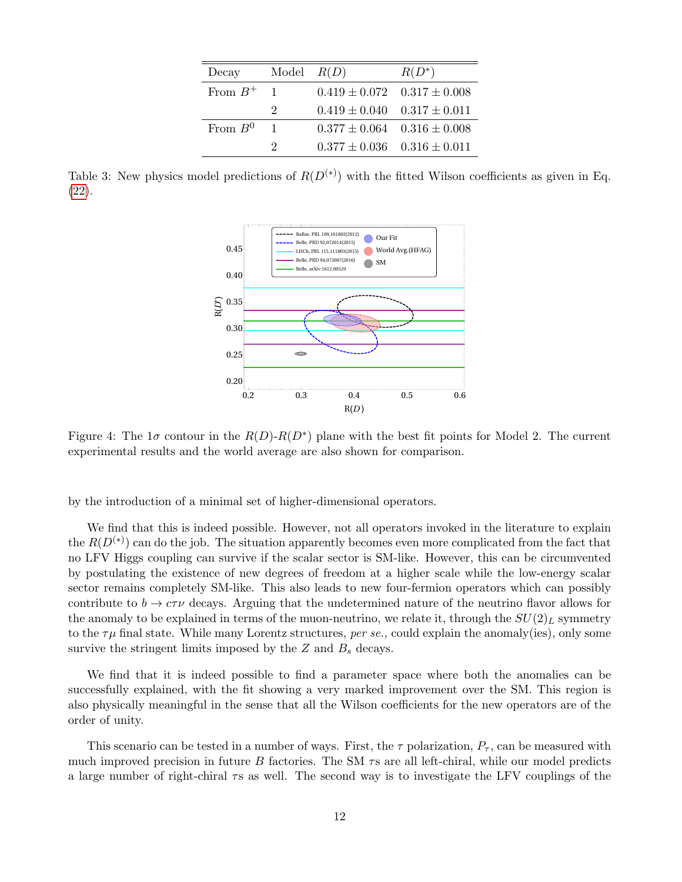| Decay        | Model $R(D)$                |                                     | $R(D^*)$ |
|--------------|-----------------------------|-------------------------------------|----------|
| From $B^+$ 1 |                             | $0.419 \pm 0.072$ $0.317 \pm 0.008$ |          |
|              | $\mathcal{D}_{\mathcal{L}}$ | $0.419 \pm 0.040$ $0.317 \pm 0.011$ |          |
| From $B^0$   | $\overline{1}$              | $0.377 \pm 0.064$ $0.316 \pm 0.008$ |          |
|              | $\cdot$                     | $0.377 \pm 0.036$ $0.316 \pm 0.011$ |          |

<span id="page-11-0"></span>Table 3: New physics model predictions of  $R(D^{(*)})$  with the fitted Wilson coefficients as given in Eq. [\(22\)](#page-10-1).



<span id="page-11-1"></span>Figure 4: The  $1\sigma$  contour in the  $R(D)$ - $R(D^*)$  plane with the best fit points for Model 2. The current experimental results and the world average are also shown for comparison.

by the introduction of a minimal set of higher-dimensional operators.

We find that this is indeed possible. However, not all operators invoked in the literature to explain the  $R(D<sup>(*)</sup>)$  can do the job. The situation apparently becomes even more complicated from the fact that no LFV Higgs coupling can survive if the scalar sector is SM-like. However, this can be circumvented by postulating the existence of new degrees of freedom at a higher scale while the low-energy scalar sector remains completely SM-like. This also leads to new four-fermion operators which can possibly contribute to  $b \to c\tau\nu$  decays. Arguing that the undetermined nature of the neutrino flavor allows for the anomaly to be explained in terms of the muon-neutrino, we relate it, through the  $SU(2)_L$  symmetry to the  $\tau\mu$  final state. While many Lorentz structures, per se., could explain the anomaly(ies), only some survive the stringent limits imposed by the  $Z$  and  $B<sub>s</sub>$  decays.

We find that it is indeed possible to find a parameter space where both the anomalies can be successfully explained, with the fit showing a very marked improvement over the SM. This region is also physically meaningful in the sense that all the Wilson coefficients for the new operators are of the order of unity.

This scenario can be tested in a number of ways. First, the  $\tau$  polarization,  $P_{\tau}$ , can be measured with much improved precision in future B factories. The SM  $\tau s$  are all left-chiral, while our model predicts a large number of right-chiral  $\tau s$  as well. The second way is to investigate the LFV couplings of the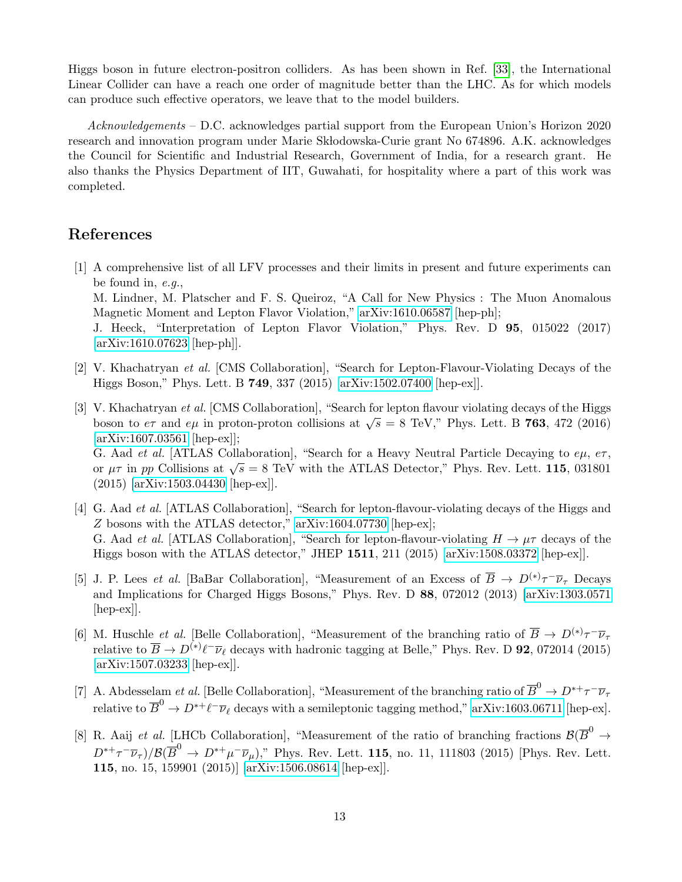Higgs boson in future electron-positron colliders. As has been shown in Ref. [\[33\]](#page-14-13), the International Linear Collider can have a reach one order of magnitude better than the LHC. As for which models can produce such effective operators, we leave that to the model builders.

Acknowledgements – D.C. acknowledges partial support from the European Union's Horizon 2020 research and innovation program under Marie Skłodowska-Curie grant No 674896. A.K. acknowledges the Council for Scientific and Industrial Research, Government of India, for a research grant. He also thanks the Physics Department of IIT, Guwahati, for hospitality where a part of this work was completed.

## References

- <span id="page-12-0"></span>[1] A comprehensive list of all LFV processes and their limits in present and future experiments can be found in, e.g., M. Lindner, M. Platscher and F. S. Queiroz, "A Call for New Physics : The Muon Anomalous Magnetic Moment and Lepton Flavor Violation," [arXiv:1610.06587](http://arxiv.org/abs/1610.06587) [hep-ph]; J. Heeck, "Interpretation of Lepton Flavor Violation," Phys. Rev. D 95, 015022 (2017)
- <span id="page-12-1"></span>[\[arXiv:1610.07623](http://arxiv.org/abs/1610.07623) [hep-ph]]. [2] V. Khachatryan et al. [CMS Collaboration], "Search for Lepton-Flavour-Violating Decays of the

Higgs Boson," Phys. Lett. B 749, 337 (2015) [\[arXiv:1502.07400](http://arxiv.org/abs/1502.07400) [hep-ex]].

- <span id="page-12-2"></span>[3] V. Khachatryan et al. [CMS Collaboration], "Search for lepton flavour violating decays of the Higgs boson to  $e\tau$  and  $e\mu$  in proton-proton collisions at  $\sqrt{s} = 8$  TeV," Phys. Lett. B 763, 472 (2016) [\[arXiv:1607.03561](http://arxiv.org/abs/1607.03561) [hep-ex]]; G. Aad et al. [ATLAS Collaboration], "Search for a Heavy Neutral Particle Decaying to  $e\mu$ ,  $e\tau$ , or  $\mu\tau$  in pp Collisions at  $\sqrt{s} = 8$  TeV with the ATLAS Detector," Phys. Rev. Lett. 115, 031801 (2015) [\[arXiv:1503.04430](http://arxiv.org/abs/1503.04430) [hep-ex]].
- <span id="page-12-3"></span>[4] G. Aad et al. [ATLAS Collaboration], "Search for lepton-flavour-violating decays of the Higgs and Z bosons with the ATLAS detector," [arXiv:1604.07730](http://arxiv.org/abs/1604.07730) [hep-ex]; G. Aad *et al.* [ATLAS Collaboration], "Search for lepton-flavour-violating  $H \to \mu\tau$  decays of the Higgs boson with the ATLAS detector," JHEP 1511, 211 (2015) [\[arXiv:1508.03372](http://arxiv.org/abs/1508.03372) [hep-ex]].
- <span id="page-12-4"></span>[5] J. P. Lees *et al.* [BaBar Collaboration], "Measurement of an Excess of  $\overline{B} \to D^{(*)}\tau^-\overline{\nu}_{\tau}$  Decays and Implications for Charged Higgs Bosons," Phys. Rev. D 88, 072012 (2013) [\[arXiv:1303.0571](http://arxiv.org/abs/1303.0571) [hep-ex]].
- <span id="page-12-5"></span>[6] M. Huschle *et al.* [Belle Collaboration], "Measurement of the branching ratio of  $\overline{B} \to D^{(*)}\tau^- \overline{\nu}_{\tau}$ relative to  $\overline{B} \to D^{(*)}\ell^-\overline{\nu}_\ell$  decays with hadronic tagging at Belle," Phys. Rev. D 92, 072014 (2015) [\[arXiv:1507.03233](http://arxiv.org/abs/1507.03233) [hep-ex]].
- <span id="page-12-6"></span>[7] A. Abdesselam *et al.* [Belle Collaboration], "Measurement of the branching ratio of  $\overline{B}^0 \to D^{*+}\tau^-\overline{\nu}_{\tau}$ relative to  $\overline{B}^0\to D^{*+}\ell^-\overline{\nu}_\ell$  decays with a semileptonic tagging method," [arXiv:1603.06711](http://arxiv.org/abs/1603.06711) [hep-ex].
- <span id="page-12-7"></span>[8] R. Aaij *et al.* [LHCb Collaboration], "Measurement of the ratio of branching fractions  $\mathcal{B}(\overline{B}^0 \to$  $D^{*+}\tau^-\overline{\nu}_{\tau})/\mathcal{B}(\overline{B}^0\to D^{*+}\mu^-\overline{\nu}_{\mu})$ ," Phys. Rev. Lett. 115, no. 11, 111803 (2015) [Phys. Rev. Lett. 115, no. 15, 159901 (2015)] [\[arXiv:1506.08614](http://arxiv.org/abs/1506.08614) [hep-ex]].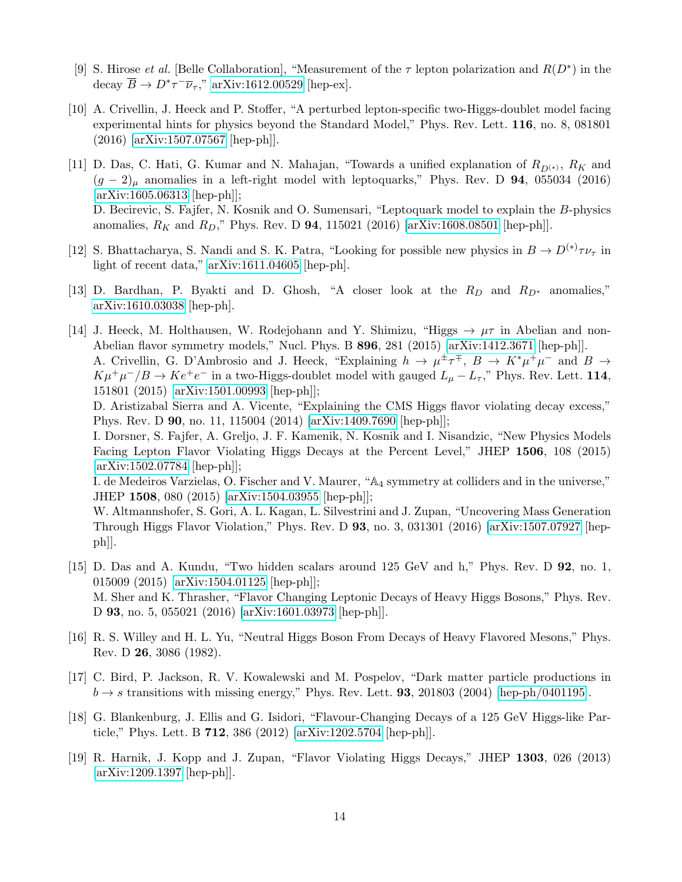- <span id="page-13-0"></span>[9] S. Hirose *et al.* [Belle Collaboration], "Measurement of the  $\tau$  lepton polarization and  $R(D^*)$  in the decay  $\overline{B} \to D^* \tau^- \overline{\nu}_{\tau}$ ," [arXiv:1612.00529](http://arxiv.org/abs/1612.00529) [hep-ex].
- <span id="page-13-1"></span>[10] A. Crivellin, J. Heeck and P. Stoffer, "A perturbed lepton-specific two-Higgs-doublet model facing experimental hints for physics beyond the Standard Model," Phys. Rev. Lett. 116, no. 8, 081801 (2016) [\[arXiv:1507.07567](http://arxiv.org/abs/1507.07567) [hep-ph]].
- <span id="page-13-6"></span>[11] D. Das, C. Hati, G. Kumar and N. Mahajan, "Towards a unified explanation of  $R_{D(*)}$ ,  $R_K$  and  $(g - 2)$ <sub>u</sub> anomalies in a left-right model with leptoquarks," Phys. Rev. D 94, 055034 (2016) [\[arXiv:1605.06313](http://arxiv.org/abs/1605.06313) [hep-ph]]; D. Becirevic, S. Fajfer, N. Kosnik and O. Sumensari, "Leptoquark model to explain the B-physics anomalies,  $R_K$  and  $R_D$ ," Phys. Rev. D 94, 115021 (2016) [\[arXiv:1608.08501](http://arxiv.org/abs/1608.08501) [hep-ph]].
- <span id="page-13-2"></span>[12] S. Bhattacharya, S. Nandi and S. K. Patra, "Looking for possible new physics in  $B \to D^{(*)}\tau\nu_{\tau}$  in light of recent data," [arXiv:1611.04605](http://arxiv.org/abs/1611.04605) [hep-ph].
- <span id="page-13-3"></span>[13] D. Bardhan, P. Byakti and D. Ghosh, "A closer look at the  $R_D$  and  $R_{D*}$  anomalies," [arXiv:1610.03038](http://arxiv.org/abs/1610.03038) [hep-ph].
- <span id="page-13-4"></span>[14] J. Heeck, M. Holthausen, W. Rodejohann and Y. Shimizu, "Higgs  $\rightarrow \mu\tau$  in Abelian and non-Abelian flavor symmetry models," Nucl. Phys. B 896, 281 (2015) [\[arXiv:1412.3671](http://arxiv.org/abs/1412.3671) [hep-ph]]. A. Crivellin, G. D'Ambrosio and J. Heeck, "Explaining  $h \to \mu^{\pm} \tau^{\mp}$ ,  $B \to K^* \mu^+ \mu^-$  and  $B \to$  $K\mu^+\mu^-/B\to Ke^+e^-$  in a two-Higgs-doublet model with gauged  $L_\mu - L_\tau$ ," Phys. Rev. Lett. 114, 151801 (2015) [\[arXiv:1501.00993](http://arxiv.org/abs/1501.00993) [hep-ph]];

D. Aristizabal Sierra and A. Vicente, "Explaining the CMS Higgs flavor violating decay excess," Phys. Rev. D 90, no. 11, 115004 (2014) [\[arXiv:1409.7690](http://arxiv.org/abs/1409.7690) [hep-ph]];

I. Dorsner, S. Fajfer, A. Greljo, J. F. Kamenik, N. Kosnik and I. Nisandzic, "New Physics Models Facing Lepton Flavor Violating Higgs Decays at the Percent Level," JHEP 1506, 108 (2015) [\[arXiv:1502.07784](http://arxiv.org/abs/1502.07784) [hep-ph]];

I. de Medeiros Varzielas, O. Fischer and V. Maurer, "A<sup>4</sup> symmetry at colliders and in the universe," JHEP 1508, 080 (2015) [\[arXiv:1504.03955](http://arxiv.org/abs/1504.03955) [hep-ph]];

W. Altmannshofer, S. Gori, A. L. Kagan, L. Silvestrini and J. Zupan, "Uncovering Mass Generation Through Higgs Flavor Violation," Phys. Rev. D 93, no. 3, 031301 (2016) [\[arXiv:1507.07927](http://arxiv.org/abs/1507.07927) [hepph]].

- <span id="page-13-5"></span>[15] D. Das and A. Kundu, "Two hidden scalars around 125 GeV and h," Phys. Rev. D 92, no. 1, 015009 (2015) [\[arXiv:1504.01125](http://arxiv.org/abs/1504.01125) [hep-ph]]; M. Sher and K. Thrasher, "Flavor Changing Leptonic Decays of Heavy Higgs Bosons," Phys. Rev. D 93, no. 5, 055021 (2016) [\[arXiv:1601.03973](http://arxiv.org/abs/1601.03973) [hep-ph]].
- <span id="page-13-7"></span>[16] R. S. Willey and H. L. Yu, "Neutral Higgs Boson From Decays of Heavy Flavored Mesons," Phys. Rev. D 26, 3086 (1982).
- <span id="page-13-8"></span>[17] C. Bird, P. Jackson, R. V. Kowalewski and M. Pospelov, "Dark matter particle productions in  $b \rightarrow s$  transitions with missing energy," Phys. Rev. Lett. **93**, 201803 (2004) [\[hep-ph/0401195\]](http://arxiv.org/abs/hep-ph/0401195).
- <span id="page-13-9"></span>[18] G. Blankenburg, J. Ellis and G. Isidori, "Flavour-Changing Decays of a 125 GeV Higgs-like Particle," Phys. Lett. B 712, 386 (2012) [\[arXiv:1202.5704](http://arxiv.org/abs/1202.5704) [hep-ph]].
- <span id="page-13-10"></span>[19] R. Harnik, J. Kopp and J. Zupan, "Flavor Violating Higgs Decays," JHEP 1303, 026 (2013) [\[arXiv:1209.1397](http://arxiv.org/abs/1209.1397) [hep-ph]].